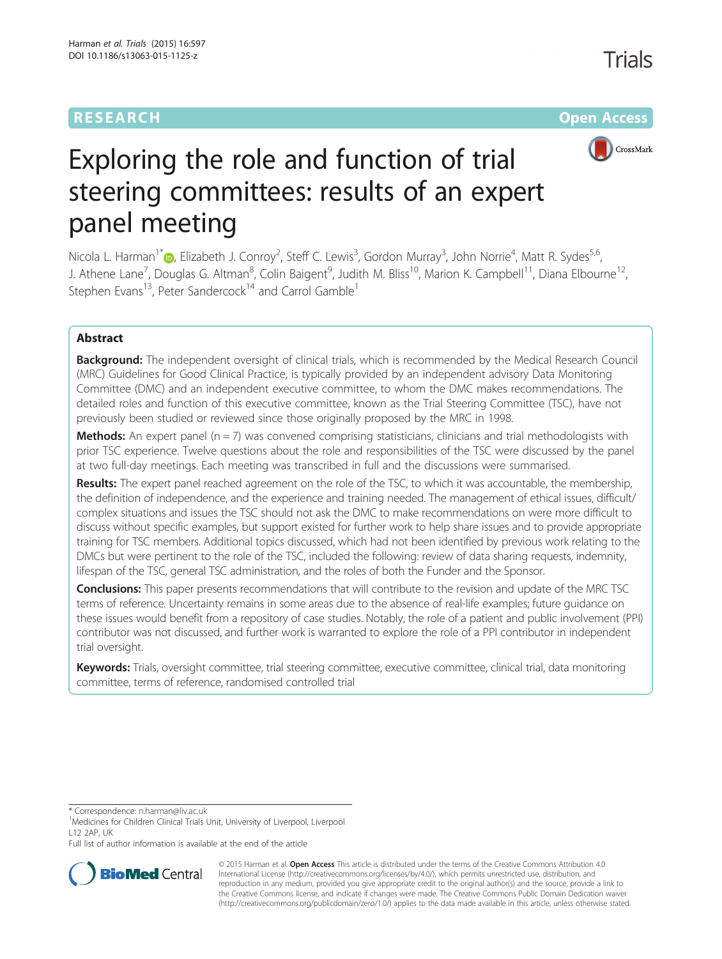# **RESEARCH CHE Open Access**



# Exploring the role and function of trial steering committees: results of an expert panel meeting

Nicola L. Harman<sup>1\*</sup>®[,](http://orcid.org/0000-0001-6958-6466) Elizabeth J. Conroy<sup>2</sup>, Steff C. Lewis<sup>3</sup>, Gordon Murray<sup>3</sup>, John Norrie<sup>4</sup>, Matt R. Sydes<sup>5,6</sup>, J. Athene Lane<sup>7</sup>, Douglas G. Altman<sup>8</sup>, Colin Baigent<sup>9</sup>, Judith M. Bliss<sup>10</sup>, Marion K. Campbell<sup>11</sup>, Diana Elbourne<sup>12</sup>, Stephen Evans<sup>13</sup>, Peter Sandercock<sup>14</sup> and Carrol Gamble<sup>1</sup>

# Abstract

**Background:** The independent oversight of clinical trials, which is recommended by the Medical Research Council (MRC) Guidelines for Good Clinical Practice, is typically provided by an independent advisory Data Monitoring Committee (DMC) and an independent executive committee, to whom the DMC makes recommendations. The detailed roles and function of this executive committee, known as the Trial Steering Committee (TSC), have not previously been studied or reviewed since those originally proposed by the MRC in 1998.

**Methods:** An expert panel  $(n = 7)$  was convened comprising statisticians, clinicians and trial methodologists with prior TSC experience. Twelve questions about the role and responsibilities of the TSC were discussed by the panel at two full-day meetings. Each meeting was transcribed in full and the discussions were summarised.

Results: The expert panel reached agreement on the role of the TSC, to which it was accountable, the membership, the definition of independence, and the experience and training needed. The management of ethical issues, difficult/ complex situations and issues the TSC should not ask the DMC to make recommendations on were more difficult to discuss without specific examples, but support existed for further work to help share issues and to provide appropriate training for TSC members. Additional topics discussed, which had not been identified by previous work relating to the DMCs but were pertinent to the role of the TSC, included the following: review of data sharing requests, indemnity, lifespan of the TSC, general TSC administration, and the roles of both the Funder and the Sponsor.

Conclusions: This paper presents recommendations that will contribute to the revision and update of the MRC TSC terms of reference. Uncertainty remains in some areas due to the absence of real-life examples; future guidance on these issues would benefit from a repository of case studies. Notably, the role of a patient and public involvement (PPI) contributor was not discussed, and further work is warranted to explore the role of a PPI contributor in independent trial oversight.

Keywords: Trials, oversight committee, trial steering committee, executive committee, clinical trial, data monitoring committee, terms of reference, randomised controlled trial

\* Correspondence: [n.harman@liv.ac.uk](mailto:n.harman@liv.ac.uk) <sup>1</sup>

<sup>1</sup>Medicines for Children Clinical Trials Unit, University of Liverpool, Liverpool L12 2AP, UK

Full list of author information is available at the end of the article



© 2015 Harman et al. Open Access This article is distributed under the terms of the Creative Commons Attribution 4.0 International License [\(http://creativecommons.org/licenses/by/4.0/](http://creativecommons.org/licenses/by/4.0/)), which permits unrestricted use, distribution, and reproduction in any medium, provided you give appropriate credit to the original author(s) and the source, provide a link to the Creative Commons license, and indicate if changes were made. The Creative Commons Public Domain Dedication waiver [\(http://creativecommons.org/publicdomain/zero/1.0/](http://creativecommons.org/publicdomain/zero/1.0/)) applies to the data made available in this article, unless otherwise stated.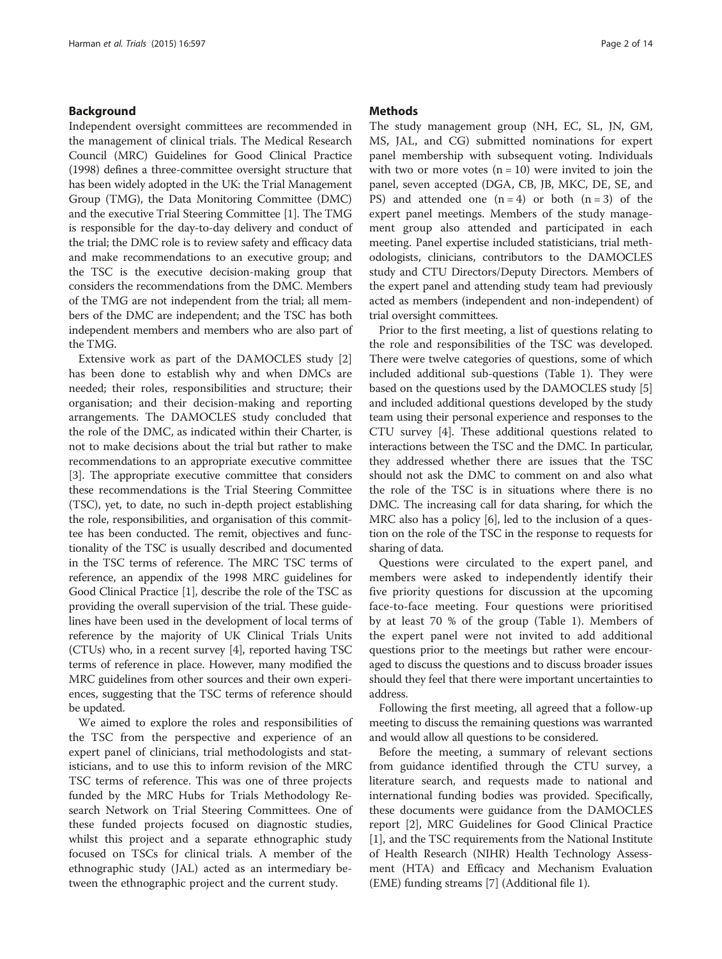#### Background

Independent oversight committees are recommended in the management of clinical trials. The Medical Research Council (MRC) Guidelines for Good Clinical Practice (1998) defines a three-committee oversight structure that has been widely adopted in the UK: the Trial Management Group (TMG), the Data Monitoring Committee (DMC) and the executive Trial Steering Committee [\[1](#page-12-0)]. The TMG is responsible for the day-to-day delivery and conduct of the trial; the DMC role is to review safety and efficacy data and make recommendations to an executive group; and the TSC is the executive decision-making group that considers the recommendations from the DMC. Members of the TMG are not independent from the trial; all members of the DMC are independent; and the TSC has both independent members and members who are also part of the TMG.

Extensive work as part of the DAMOCLES study [\[2](#page-12-0)] has been done to establish why and when DMCs are needed; their roles, responsibilities and structure; their organisation; and their decision-making and reporting arrangements. The DAMOCLES study concluded that the role of the DMC, as indicated within their Charter, is not to make decisions about the trial but rather to make recommendations to an appropriate executive committee [[3\]](#page-12-0). The appropriate executive committee that considers these recommendations is the Trial Steering Committee (TSC), yet, to date, no such in-depth project establishing the role, responsibilities, and organisation of this committee has been conducted. The remit, objectives and functionality of the TSC is usually described and documented in the TSC terms of reference. The MRC TSC terms of reference, an appendix of the 1998 MRC guidelines for Good Clinical Practice [\[1](#page-12-0)], describe the role of the TSC as providing the overall supervision of the trial. These guidelines have been used in the development of local terms of reference by the majority of UK Clinical Trials Units (CTUs) who, in a recent survey [\[4](#page-12-0)], reported having TSC terms of reference in place. However, many modified the MRC guidelines from other sources and their own experiences, suggesting that the TSC terms of reference should be updated.

We aimed to explore the roles and responsibilities of the TSC from the perspective and experience of an expert panel of clinicians, trial methodologists and statisticians, and to use this to inform revision of the MRC TSC terms of reference. This was one of three projects funded by the MRC Hubs for Trials Methodology Research Network on Trial Steering Committees. One of these funded projects focused on diagnostic studies, whilst this project and a separate ethnographic study focused on TSCs for clinical trials. A member of the ethnographic study (JAL) acted as an intermediary between the ethnographic project and the current study.

#### **Methods**

The study management group (NH, EC, SL, JN, GM, MS, JAL, and CG) submitted nominations for expert panel membership with subsequent voting. Individuals with two or more votes  $(n = 10)$  were invited to join the panel, seven accepted (DGA, CB, JB, MKC, DE, SE, and PS) and attended one  $(n = 4)$  or both  $(n = 3)$  of the expert panel meetings. Members of the study management group also attended and participated in each meeting. Panel expertise included statisticians, trial methodologists, clinicians, contributors to the DAMOCLES study and CTU Directors/Deputy Directors. Members of the expert panel and attending study team had previously acted as members (independent and non-independent) of trial oversight committees.

Prior to the first meeting, a list of questions relating to the role and responsibilities of the TSC was developed. There were twelve categories of questions, some of which included additional sub-questions (Table [1](#page-2-0)). They were based on the questions used by the DAMOCLES study [[5](#page-12-0)] and included additional questions developed by the study team using their personal experience and responses to the CTU survey [[4\]](#page-12-0). These additional questions related to interactions between the TSC and the DMC. In particular, they addressed whether there are issues that the TSC should not ask the DMC to comment on and also what the role of the TSC is in situations where there is no DMC. The increasing call for data sharing, for which the MRC also has a policy [[6](#page-12-0)], led to the inclusion of a question on the role of the TSC in the response to requests for sharing of data.

Questions were circulated to the expert panel, and members were asked to independently identify their five priority questions for discussion at the upcoming face-to-face meeting. Four questions were prioritised by at least 70 % of the group (Table [1](#page-2-0)). Members of the expert panel were not invited to add additional questions prior to the meetings but rather were encouraged to discuss the questions and to discuss broader issues should they feel that there were important uncertainties to address.

Following the first meeting, all agreed that a follow-up meeting to discuss the remaining questions was warranted and would allow all questions to be considered.

Before the meeting, a summary of relevant sections from guidance identified through the CTU survey, a literature search, and requests made to national and international funding bodies was provided. Specifically, these documents were guidance from the DAMOCLES report [[2\]](#page-12-0), MRC Guidelines for Good Clinical Practice [[1\]](#page-12-0), and the TSC requirements from the National Institute of Health Research (NIHR) Health Technology Assessment (HTA) and Efficacy and Mechanism Evaluation (EME) funding streams [[7](#page-12-0)] (Additional file [1\)](#page-12-0).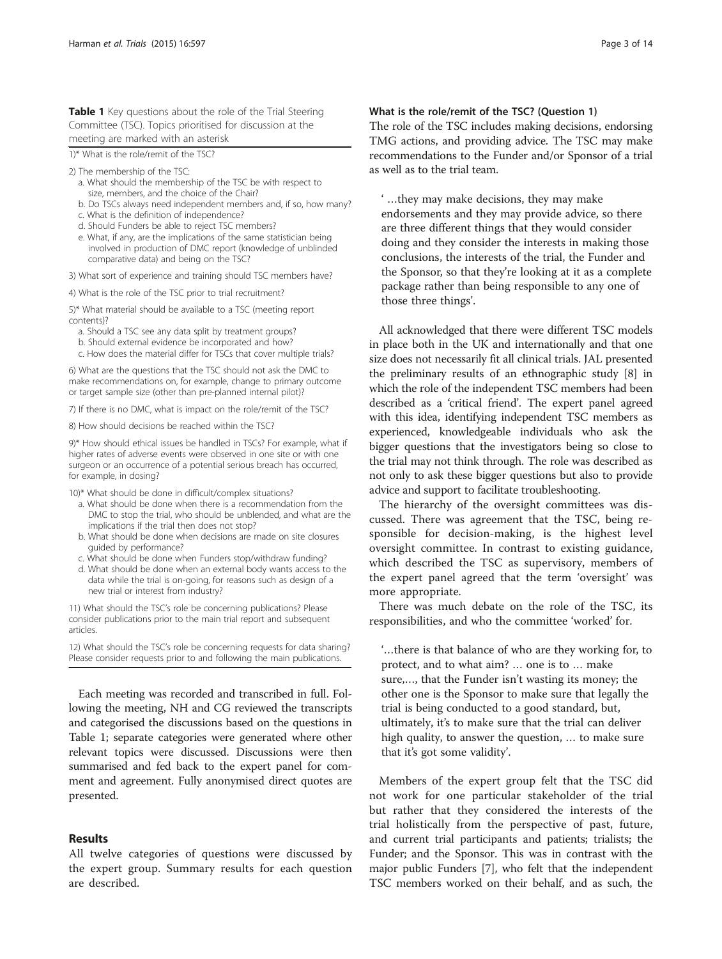<span id="page-2-0"></span>Table 1 Key questions about the role of the Trial Steering Committee (TSC). Topics prioritised for discussion at the meeting are marked with an asterisk

1)\* What is the role/remit of the TSC?

2) The membership of the TSC:

- a. What should the membership of the TSC be with respect to size, members, and the choice of the Chair?
- b. Do TSCs always need independent members and, if so, how many?
- c. What is the definition of independence?
- d. Should Funders be able to reject TSC members?
- e. What, if any, are the implications of the same statistician being involved in production of DMC report (knowledge of unblinded comparative data) and being on the TSC?

3) What sort of experience and training should TSC members have?

4) What is the role of the TSC prior to trial recruitment?

5)\* What material should be available to a TSC (meeting report contents)?

- a. Should a TSC see any data split by treatment groups?
- b. Should external evidence be incorporated and how?
- c. How does the material differ for TSCs that cover multiple trials?

6) What are the questions that the TSC should not ask the DMC to make recommendations on, for example, change to primary outcome or target sample size (other than pre-planned internal pilot)?

7) If there is no DMC, what is impact on the role/remit of the TSC?

8) How should decisions be reached within the TSC?

9)\* How should ethical issues be handled in TSCs? For example, what if higher rates of adverse events were observed in one site or with one surgeon or an occurrence of a potential serious breach has occurred, for example, in dosing?

- 10)\* What should be done in difficult/complex situations?
	- a. What should be done when there is a recommendation from the DMC to stop the trial, who should be unblended, and what are the implications if the trial then does not stop?
	- b. What should be done when decisions are made on site closures guided by performance?
	- c. What should be done when Funders stop/withdraw funding?
	- d. What should be done when an external body wants access to the data while the trial is on-going, for reasons such as design of a new trial or interest from industry?

11) What should the TSC's role be concerning publications? Please consider publications prior to the main trial report and subsequent articles.

12) What should the TSC's role be concerning requests for data sharing? Please consider requests prior to and following the main publications.

Each meeting was recorded and transcribed in full. Following the meeting, NH and CG reviewed the transcripts and categorised the discussions based on the questions in Table 1; separate categories were generated where other relevant topics were discussed. Discussions were then summarised and fed back to the expert panel for comment and agreement. Fully anonymised direct quotes are presented.

#### Results

All twelve categories of questions were discussed by the expert group. Summary results for each question are described.

#### What is the role/remit of the TSC? (Question 1)

The role of the TSC includes making decisions, endorsing TMG actions, and providing advice. The TSC may make recommendations to the Funder and/or Sponsor of a trial as well as to the trial team.

' …they may make decisions, they may make endorsements and they may provide advice, so there are three different things that they would consider doing and they consider the interests in making those conclusions, the interests of the trial, the Funder and the Sponsor, so that they're looking at it as a complete package rather than being responsible to any one of those three things'.

All acknowledged that there were different TSC models in place both in the UK and internationally and that one size does not necessarily fit all clinical trials. JAL presented the preliminary results of an ethnographic study [\[8\]](#page-12-0) in which the role of the independent TSC members had been described as a 'critical friend'. The expert panel agreed with this idea, identifying independent TSC members as experienced, knowledgeable individuals who ask the bigger questions that the investigators being so close to the trial may not think through. The role was described as not only to ask these bigger questions but also to provide advice and support to facilitate troubleshooting.

The hierarchy of the oversight committees was discussed. There was agreement that the TSC, being responsible for decision-making, is the highest level oversight committee. In contrast to existing guidance, which described the TSC as supervisory, members of the expert panel agreed that the term 'oversight' was more appropriate.

There was much debate on the role of the TSC, its responsibilities, and who the committee 'worked' for.

'…there is that balance of who are they working for, to protect, and to what aim? … one is to … make sure,…, that the Funder isn't wasting its money; the other one is the Sponsor to make sure that legally the trial is being conducted to a good standard, but, ultimately, it's to make sure that the trial can deliver high quality, to answer the question, … to make sure that it's got some validity'.

Members of the expert group felt that the TSC did not work for one particular stakeholder of the trial but rather that they considered the interests of the trial holistically from the perspective of past, future, and current trial participants and patients; trialists; the Funder; and the Sponsor. This was in contrast with the major public Funders [\[7](#page-12-0)], who felt that the independent TSC members worked on their behalf, and as such, the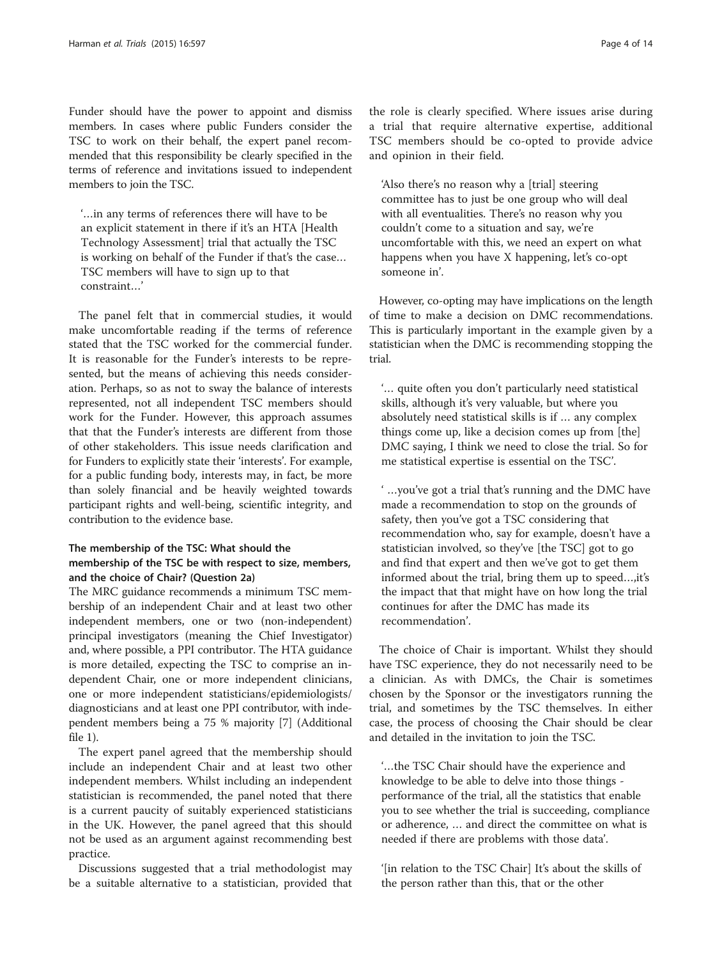Funder should have the power to appoint and dismiss members. In cases where public Funders consider the TSC to work on their behalf, the expert panel recommended that this responsibility be clearly specified in the terms of reference and invitations issued to independent members to join the TSC.

'…in any terms of references there will have to be an explicit statement in there if it's an HTA [Health Technology Assessment] trial that actually the TSC is working on behalf of the Funder if that's the case… TSC members will have to sign up to that constraint…'

The panel felt that in commercial studies, it would make uncomfortable reading if the terms of reference stated that the TSC worked for the commercial funder. It is reasonable for the Funder's interests to be represented, but the means of achieving this needs consideration. Perhaps, so as not to sway the balance of interests represented, not all independent TSC members should work for the Funder. However, this approach assumes that that the Funder's interests are different from those of other stakeholders. This issue needs clarification and for Funders to explicitly state their 'interests'. For example, for a public funding body, interests may, in fact, be more than solely financial and be heavily weighted towards participant rights and well-being, scientific integrity, and contribution to the evidence base.

### The membership of the TSC: What should the membership of the TSC be with respect to size, members, and the choice of Chair? (Question 2a)

The MRC guidance recommends a minimum TSC membership of an independent Chair and at least two other independent members, one or two (non-independent) principal investigators (meaning the Chief Investigator) and, where possible, a PPI contributor. The HTA guidance is more detailed, expecting the TSC to comprise an independent Chair, one or more independent clinicians, one or more independent statisticians/epidemiologists/ diagnosticians and at least one PPI contributor, with independent members being a 75 % majority [\[7](#page-12-0)] (Additional file [1](#page-12-0)).

The expert panel agreed that the membership should include an independent Chair and at least two other independent members. Whilst including an independent statistician is recommended, the panel noted that there is a current paucity of suitably experienced statisticians in the UK. However, the panel agreed that this should not be used as an argument against recommending best practice.

Discussions suggested that a trial methodologist may be a suitable alternative to a statistician, provided that

the role is clearly specified. Where issues arise during a trial that require alternative expertise, additional TSC members should be co-opted to provide advice and opinion in their field.

'Also there's no reason why a [trial] steering committee has to just be one group who will deal with all eventualities. There's no reason why you couldn't come to a situation and say, we're uncomfortable with this, we need an expert on what happens when you have X happening, let's co-opt someone in'.

However, co-opting may have implications on the length of time to make a decision on DMC recommendations. This is particularly important in the example given by a statistician when the DMC is recommending stopping the trial.

'… quite often you don't particularly need statistical skills, although it's very valuable, but where you absolutely need statistical skills is if … any complex things come up, like a decision comes up from [the] DMC saying, I think we need to close the trial. So for me statistical expertise is essential on the TSC'.

' …you've got a trial that's running and the DMC have made a recommendation to stop on the grounds of safety, then you've got a TSC considering that recommendation who, say for example, doesn't have a statistician involved, so they've [the TSC] got to go and find that expert and then we've got to get them informed about the trial, bring them up to speed…,it's the impact that that might have on how long the trial continues for after the DMC has made its recommendation'.

The choice of Chair is important. Whilst they should have TSC experience, they do not necessarily need to be a clinician. As with DMCs, the Chair is sometimes chosen by the Sponsor or the investigators running the trial, and sometimes by the TSC themselves. In either case, the process of choosing the Chair should be clear and detailed in the invitation to join the TSC.

'…the TSC Chair should have the experience and knowledge to be able to delve into those things performance of the trial, all the statistics that enable you to see whether the trial is succeeding, compliance or adherence, … and direct the committee on what is needed if there are problems with those data'.

'[in relation to the TSC Chair] It's about the skills of the person rather than this, that or the other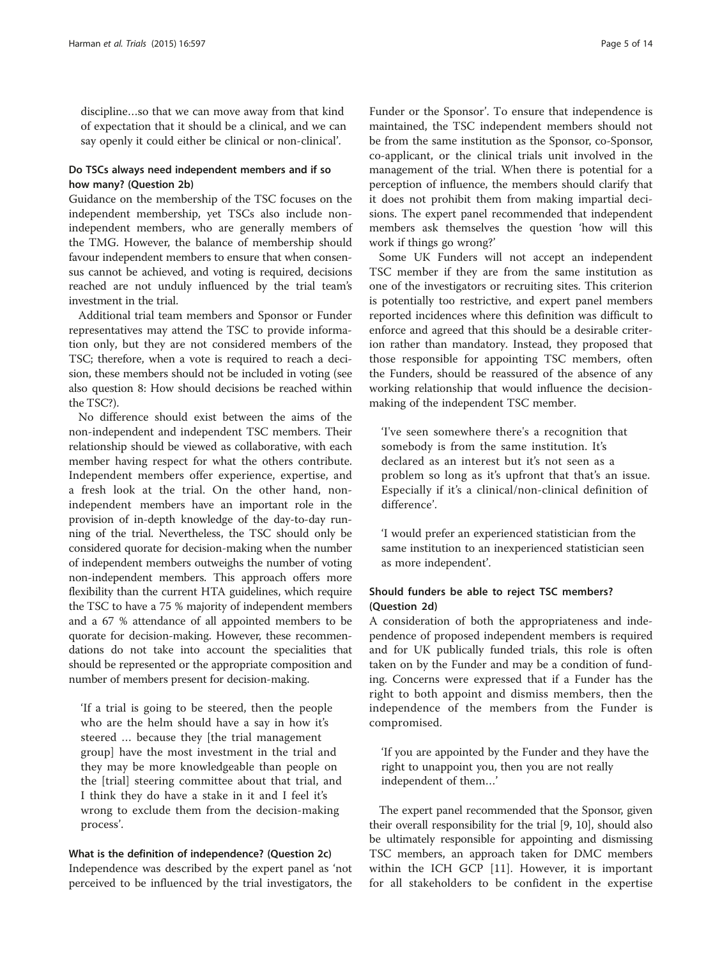discipline…so that we can move away from that kind of expectation that it should be a clinical, and we can say openly it could either be clinical or non-clinical'.

#### Do TSCs always need independent members and if so how many? (Question 2b)

Guidance on the membership of the TSC focuses on the independent membership, yet TSCs also include nonindependent members, who are generally members of the TMG. However, the balance of membership should favour independent members to ensure that when consensus cannot be achieved, and voting is required, decisions reached are not unduly influenced by the trial team's investment in the trial.

Additional trial team members and Sponsor or Funder representatives may attend the TSC to provide information only, but they are not considered members of the TSC; therefore, when a vote is required to reach a decision, these members should not be included in voting (see also question 8: How should decisions be reached within the TSC?).

No difference should exist between the aims of the non-independent and independent TSC members. Their relationship should be viewed as collaborative, with each member having respect for what the others contribute. Independent members offer experience, expertise, and a fresh look at the trial. On the other hand, nonindependent members have an important role in the provision of in-depth knowledge of the day-to-day running of the trial. Nevertheless, the TSC should only be considered quorate for decision-making when the number of independent members outweighs the number of voting non-independent members. This approach offers more flexibility than the current HTA guidelines, which require the TSC to have a 75 % majority of independent members and a 67 % attendance of all appointed members to be quorate for decision-making. However, these recommendations do not take into account the specialities that should be represented or the appropriate composition and number of members present for decision-making.

'If a trial is going to be steered, then the people who are the helm should have a say in how it's steered … because they [the trial management group] have the most investment in the trial and they may be more knowledgeable than people on the [trial] steering committee about that trial, and I think they do have a stake in it and I feel it's wrong to exclude them from the decision-making process'.

What is the definition of independence? (Question 2c) Independence was described by the expert panel as 'not perceived to be influenced by the trial investigators, the

Funder or the Sponsor'. To ensure that independence is maintained, the TSC independent members should not be from the same institution as the Sponsor, co-Sponsor, co-applicant, or the clinical trials unit involved in the management of the trial. When there is potential for a perception of influence, the members should clarify that it does not prohibit them from making impartial decisions. The expert panel recommended that independent members ask themselves the question 'how will this work if things go wrong?'

Some UK Funders will not accept an independent TSC member if they are from the same institution as one of the investigators or recruiting sites. This criterion is potentially too restrictive, and expert panel members reported incidences where this definition was difficult to enforce and agreed that this should be a desirable criterion rather than mandatory. Instead, they proposed that those responsible for appointing TSC members, often the Funders, should be reassured of the absence of any working relationship that would influence the decisionmaking of the independent TSC member.

'I've seen somewhere there's a recognition that somebody is from the same institution. It's declared as an interest but it's not seen as a problem so long as it's upfront that that's an issue. Especially if it's a clinical/non-clinical definition of difference'.

'I would prefer an experienced statistician from the same institution to an inexperienced statistician seen as more independent'.

#### Should funders be able to reject TSC members? (Question 2d)

A consideration of both the appropriateness and independence of proposed independent members is required and for UK publically funded trials, this role is often taken on by the Funder and may be a condition of funding. Concerns were expressed that if a Funder has the right to both appoint and dismiss members, then the independence of the members from the Funder is compromised.

'If you are appointed by the Funder and they have the right to unappoint you, then you are not really independent of them…'

The expert panel recommended that the Sponsor, given their overall responsibility for the trial [\[9, 10\]](#page-12-0), should also be ultimately responsible for appointing and dismissing TSC members, an approach taken for DMC members within the ICH GCP [[11\]](#page-12-0). However, it is important for all stakeholders to be confident in the expertise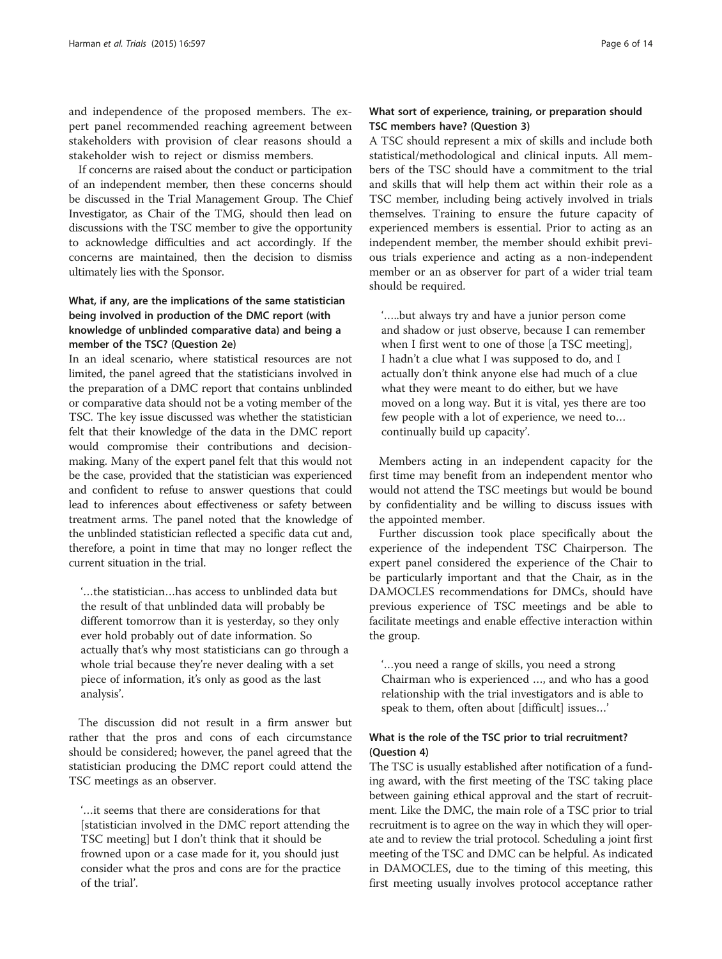and independence of the proposed members. The expert panel recommended reaching agreement between stakeholders with provision of clear reasons should a stakeholder wish to reject or dismiss members.

If concerns are raised about the conduct or participation of an independent member, then these concerns should be discussed in the Trial Management Group. The Chief Investigator, as Chair of the TMG, should then lead on discussions with the TSC member to give the opportunity to acknowledge difficulties and act accordingly. If the concerns are maintained, then the decision to dismiss ultimately lies with the Sponsor.

# What, if any, are the implications of the same statistician being involved in production of the DMC report (with knowledge of unblinded comparative data) and being a member of the TSC? (Question 2e)

In an ideal scenario, where statistical resources are not limited, the panel agreed that the statisticians involved in the preparation of a DMC report that contains unblinded or comparative data should not be a voting member of the TSC. The key issue discussed was whether the statistician felt that their knowledge of the data in the DMC report would compromise their contributions and decisionmaking. Many of the expert panel felt that this would not be the case, provided that the statistician was experienced and confident to refuse to answer questions that could lead to inferences about effectiveness or safety between treatment arms. The panel noted that the knowledge of the unblinded statistician reflected a specific data cut and, therefore, a point in time that may no longer reflect the current situation in the trial.

'…the statistician…has access to unblinded data but the result of that unblinded data will probably be different tomorrow than it is yesterday, so they only ever hold probably out of date information. So actually that's why most statisticians can go through a whole trial because they're never dealing with a set piece of information, it's only as good as the last analysis'.

The discussion did not result in a firm answer but rather that the pros and cons of each circumstance should be considered; however, the panel agreed that the statistician producing the DMC report could attend the TSC meetings as an observer.

'…it seems that there are considerations for that [statistician involved in the DMC report attending the TSC meeting] but I don't think that it should be frowned upon or a case made for it, you should just consider what the pros and cons are for the practice of the trial'.

# What sort of experience, training, or preparation should TSC members have? (Question 3)

A TSC should represent a mix of skills and include both statistical/methodological and clinical inputs. All members of the TSC should have a commitment to the trial and skills that will help them act within their role as a TSC member, including being actively involved in trials themselves. Training to ensure the future capacity of experienced members is essential. Prior to acting as an independent member, the member should exhibit previous trials experience and acting as a non-independent member or an as observer for part of a wider trial team should be required.

'…..but always try and have a junior person come and shadow or just observe, because I can remember when I first went to one of those [a TSC meeting], I hadn't a clue what I was supposed to do, and I actually don't think anyone else had much of a clue what they were meant to do either, but we have moved on a long way. But it is vital, yes there are too few people with a lot of experience, we need to… continually build up capacity'.

Members acting in an independent capacity for the first time may benefit from an independent mentor who would not attend the TSC meetings but would be bound by confidentiality and be willing to discuss issues with the appointed member.

Further discussion took place specifically about the experience of the independent TSC Chairperson. The expert panel considered the experience of the Chair to be particularly important and that the Chair, as in the DAMOCLES recommendations for DMCs, should have previous experience of TSC meetings and be able to facilitate meetings and enable effective interaction within the group.

'…you need a range of skills, you need a strong Chairman who is experienced …, and who has a good relationship with the trial investigators and is able to speak to them, often about [difficult] issues…'

### What is the role of the TSC prior to trial recruitment? (Question 4)

The TSC is usually established after notification of a funding award, with the first meeting of the TSC taking place between gaining ethical approval and the start of recruitment. Like the DMC, the main role of a TSC prior to trial recruitment is to agree on the way in which they will operate and to review the trial protocol. Scheduling a joint first meeting of the TSC and DMC can be helpful. As indicated in DAMOCLES, due to the timing of this meeting, this first meeting usually involves protocol acceptance rather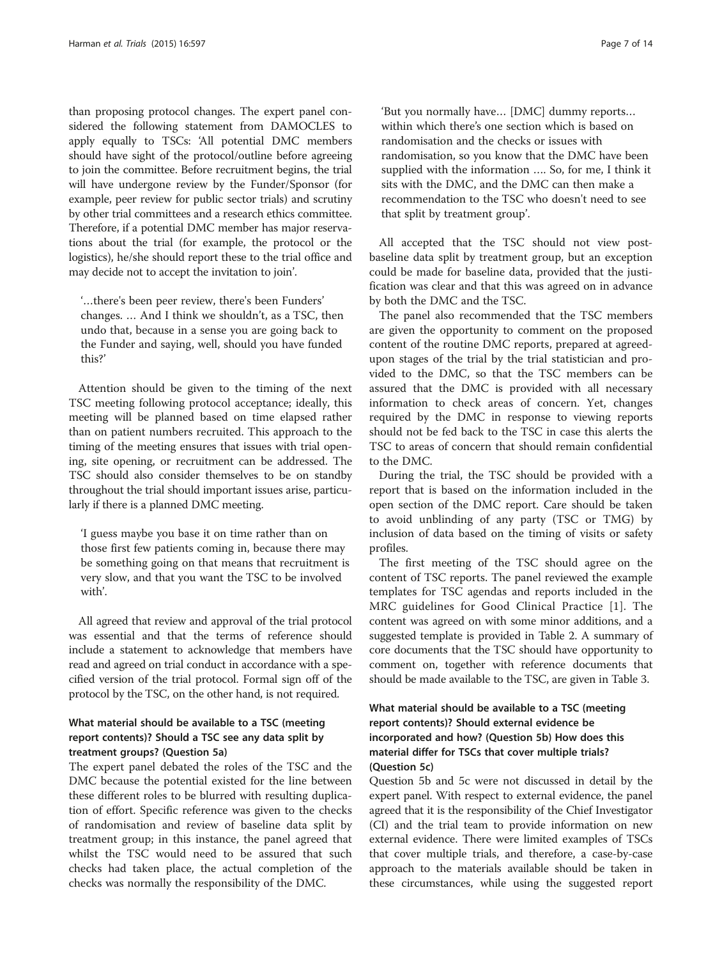than proposing protocol changes. The expert panel considered the following statement from DAMOCLES to apply equally to TSCs: 'All potential DMC members should have sight of the protocol/outline before agreeing to join the committee. Before recruitment begins, the trial will have undergone review by the Funder/Sponsor (for example, peer review for public sector trials) and scrutiny by other trial committees and a research ethics committee. Therefore, if a potential DMC member has major reservations about the trial (for example, the protocol or the logistics), he/she should report these to the trial office and may decide not to accept the invitation to join'.

'…there's been peer review, there's been Funders' changes. … And I think we shouldn't, as a TSC, then undo that, because in a sense you are going back to the Funder and saying, well, should you have funded this?'

Attention should be given to the timing of the next TSC meeting following protocol acceptance; ideally, this meeting will be planned based on time elapsed rather than on patient numbers recruited. This approach to the timing of the meeting ensures that issues with trial opening, site opening, or recruitment can be addressed. The TSC should also consider themselves to be on standby throughout the trial should important issues arise, particularly if there is a planned DMC meeting.

'I guess maybe you base it on time rather than on those first few patients coming in, because there may be something going on that means that recruitment is very slow, and that you want the TSC to be involved with'.

All agreed that review and approval of the trial protocol was essential and that the terms of reference should include a statement to acknowledge that members have read and agreed on trial conduct in accordance with a specified version of the trial protocol. Formal sign off of the protocol by the TSC, on the other hand, is not required.

# What material should be available to a TSC (meeting report contents)? Should a TSC see any data split by treatment groups? (Question 5a)

The expert panel debated the roles of the TSC and the DMC because the potential existed for the line between these different roles to be blurred with resulting duplication of effort. Specific reference was given to the checks of randomisation and review of baseline data split by treatment group; in this instance, the panel agreed that whilst the TSC would need to be assured that such checks had taken place, the actual completion of the checks was normally the responsibility of the DMC.

'But you normally have… [DMC] dummy reports… within which there's one section which is based on randomisation and the checks or issues with randomisation, so you know that the DMC have been supplied with the information …. So, for me, I think it sits with the DMC, and the DMC can then make a recommendation to the TSC who doesn't need to see that split by treatment group'.

All accepted that the TSC should not view postbaseline data split by treatment group, but an exception could be made for baseline data, provided that the justification was clear and that this was agreed on in advance by both the DMC and the TSC.

The panel also recommended that the TSC members are given the opportunity to comment on the proposed content of the routine DMC reports, prepared at agreedupon stages of the trial by the trial statistician and provided to the DMC, so that the TSC members can be assured that the DMC is provided with all necessary information to check areas of concern. Yet, changes required by the DMC in response to viewing reports should not be fed back to the TSC in case this alerts the TSC to areas of concern that should remain confidential to the DMC.

During the trial, the TSC should be provided with a report that is based on the information included in the open section of the DMC report. Care should be taken to avoid unblinding of any party (TSC or TMG) by inclusion of data based on the timing of visits or safety profiles.

The first meeting of the TSC should agree on the content of TSC reports. The panel reviewed the example templates for TSC agendas and reports included in the MRC guidelines for Good Clinical Practice [[1](#page-12-0)]. The content was agreed on with some minor additions, and a suggested template is provided in Table [2](#page-7-0). A summary of core documents that the TSC should have opportunity to comment on, together with reference documents that should be made available to the TSC, are given in Table [3.](#page-8-0)

# What material should be available to a TSC (meeting report contents)? Should external evidence be incorporated and how? (Question 5b) How does this material differ for TSCs that cover multiple trials? (Question 5c)

Question 5b and 5c were not discussed in detail by the expert panel. With respect to external evidence, the panel agreed that it is the responsibility of the Chief Investigator (CI) and the trial team to provide information on new external evidence. There were limited examples of TSCs that cover multiple trials, and therefore, a case-by-case approach to the materials available should be taken in these circumstances, while using the suggested report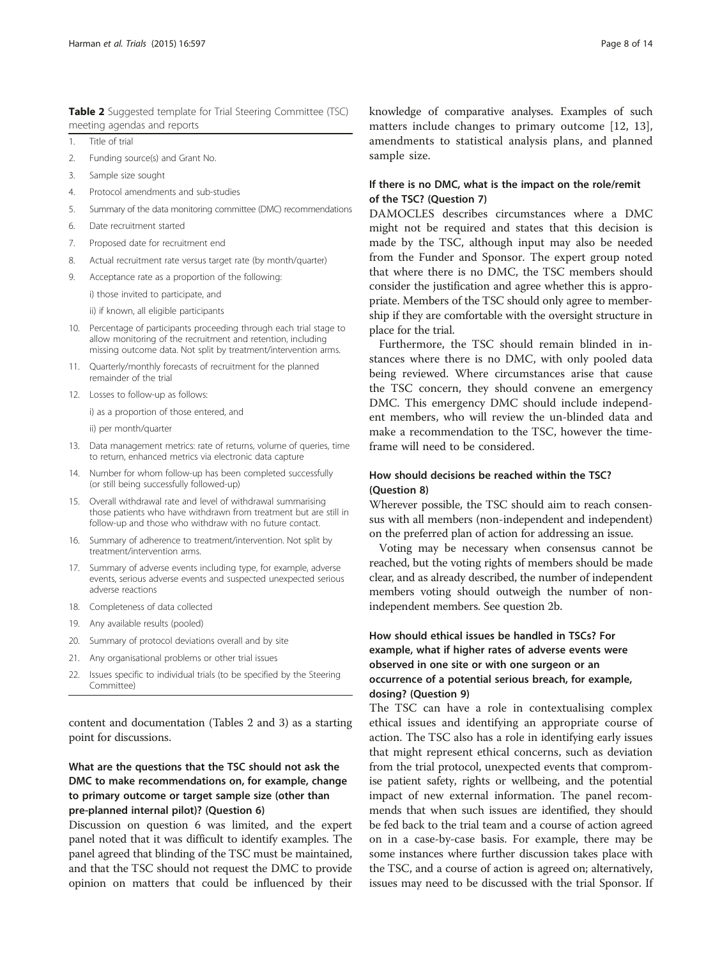<span id="page-7-0"></span>Table 2 Suggested template for Trial Steering Committee (TSC) meeting agendas and reports

- 1. Title of trial
- 2. Funding source(s) and Grant No.
- 3. Sample size sought
- 4. Protocol amendments and sub-studies
- 5. Summary of the data monitoring committee (DMC) recommendations
- 6. Date recruitment started
- 7. Proposed date for recruitment end
- 8. Actual recruitment rate versus target rate (by month/quarter)
- 9. Acceptance rate as a proportion of the following:

i) those invited to participate, and

ii) if known, all eligible participants

- 10. Percentage of participants proceeding through each trial stage to allow monitoring of the recruitment and retention, including missing outcome data. Not split by treatment/intervention arms.
- 11. Quarterly/monthly forecasts of recruitment for the planned remainder of the trial
- 12. Losses to follow-up as follows:

i) as a proportion of those entered, and

ii) per month/quarter

- 13. Data management metrics: rate of returns, volume of queries, time to return, enhanced metrics via electronic data capture
- 14. Number for whom follow-up has been completed successfully (or still being successfully followed-up)
- 15. Overall withdrawal rate and level of withdrawal summarising those patients who have withdrawn from treatment but are still in follow-up and those who withdraw with no future contact.
- 16. Summary of adherence to treatment/intervention. Not split by treatment/intervention arms.
- 17. Summary of adverse events including type, for example, adverse events, serious adverse events and suspected unexpected serious adverse reactions
- 18. Completeness of data collected
- 19. Any available results (pooled)
- 20. Summary of protocol deviations overall and by site
- 21. Any organisational problems or other trial issues
- 22. Issues specific to individual trials (to be specified by the Steering Committee)

content and documentation (Tables 2 and [3](#page-8-0)) as a starting point for discussions.

# What are the questions that the TSC should not ask the DMC to make recommendations on, for example, change to primary outcome or target sample size (other than pre-planned internal pilot)? (Question 6)

Discussion on question 6 was limited, and the expert panel noted that it was difficult to identify examples. The panel agreed that blinding of the TSC must be maintained, and that the TSC should not request the DMC to provide opinion on matters that could be influenced by their knowledge of comparative analyses. Examples of such matters include changes to primary outcome [[12, 13](#page-12-0)], amendments to statistical analysis plans, and planned sample size.

#### If there is no DMC, what is the impact on the role/remit of the TSC? (Question 7)

DAMOCLES describes circumstances where a DMC might not be required and states that this decision is made by the TSC, although input may also be needed from the Funder and Sponsor. The expert group noted that where there is no DMC, the TSC members should consider the justification and agree whether this is appropriate. Members of the TSC should only agree to membership if they are comfortable with the oversight structure in place for the trial.

Furthermore, the TSC should remain blinded in instances where there is no DMC, with only pooled data being reviewed. Where circumstances arise that cause the TSC concern, they should convene an emergency DMC. This emergency DMC should include independent members, who will review the un-blinded data and make a recommendation to the TSC, however the timeframe will need to be considered.

### How should decisions be reached within the TSC? (Question 8)

Wherever possible, the TSC should aim to reach consensus with all members (non-independent and independent) on the preferred plan of action for addressing an issue.

Voting may be necessary when consensus cannot be reached, but the voting rights of members should be made clear, and as already described, the number of independent members voting should outweigh the number of nonindependent members. See question 2b.

# How should ethical issues be handled in TSCs? For example, what if higher rates of adverse events were observed in one site or with one surgeon or an occurrence of a potential serious breach, for example, dosing? (Question 9)

The TSC can have a role in contextualising complex ethical issues and identifying an appropriate course of action. The TSC also has a role in identifying early issues that might represent ethical concerns, such as deviation from the trial protocol, unexpected events that compromise patient safety, rights or wellbeing, and the potential impact of new external information. The panel recommends that when such issues are identified, they should be fed back to the trial team and a course of action agreed on in a case-by-case basis. For example, there may be some instances where further discussion takes place with the TSC, and a course of action is agreed on; alternatively, issues may need to be discussed with the trial Sponsor. If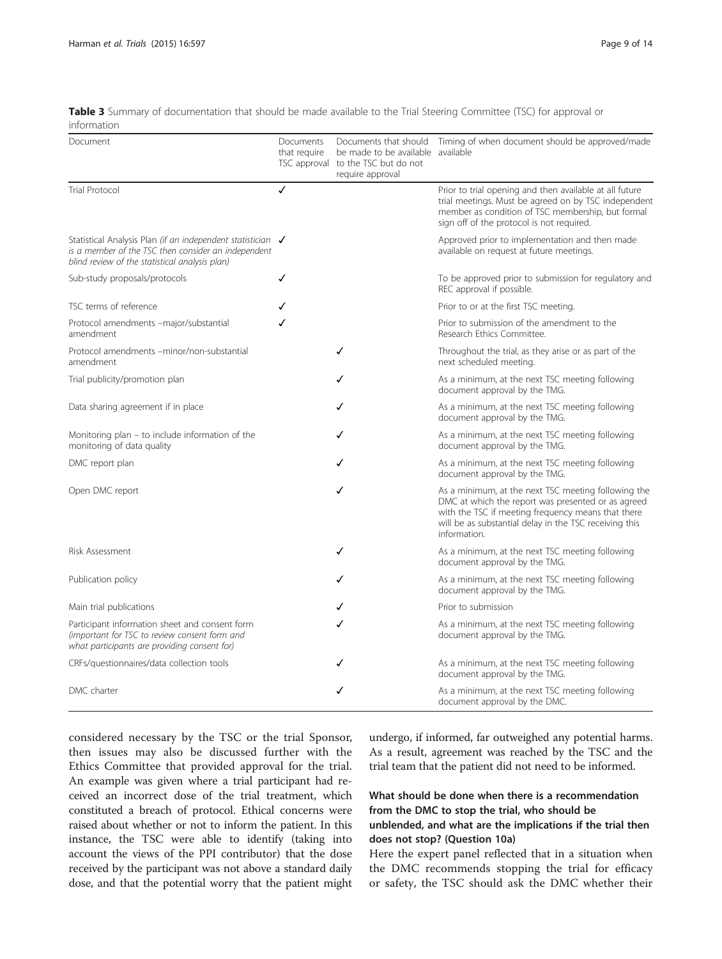| Document                                                                                                                                                                   | Documents<br>that require | be made to be available available<br>TSC approval to the TSC but do not<br>require approval | Documents that should Timing of when document should be approved/made                                                                                                                                                                     |
|----------------------------------------------------------------------------------------------------------------------------------------------------------------------------|---------------------------|---------------------------------------------------------------------------------------------|-------------------------------------------------------------------------------------------------------------------------------------------------------------------------------------------------------------------------------------------|
| <b>Trial Protocol</b>                                                                                                                                                      | ✓                         |                                                                                             | Prior to trial opening and then available at all future<br>trial meetings. Must be agreed on by TSC independent<br>member as condition of TSC membership, but formal<br>sign off of the protocol is not required.                         |
| Statistical Analysis Plan (if an independent statistician $\sqrt$<br>is a member of the TSC then consider an independent<br>blind review of the statistical analysis plan) |                           |                                                                                             | Approved prior to implementation and then made<br>available on request at future meetings.                                                                                                                                                |
| Sub-study proposals/protocols                                                                                                                                              | ✓                         |                                                                                             | To be approved prior to submission for regulatory and<br>REC approval if possible.                                                                                                                                                        |
| TSC terms of reference                                                                                                                                                     |                           |                                                                                             | Prior to or at the first TSC meeting.                                                                                                                                                                                                     |
| Protocol amendments -major/substantial<br>amendment                                                                                                                        | ✓                         |                                                                                             | Prior to submission of the amendment to the<br>Research Ethics Committee.                                                                                                                                                                 |
| Protocol amendments -minor/non-substantial<br>amendment                                                                                                                    |                           | ✓                                                                                           | Throughout the trial, as they arise or as part of the<br>next scheduled meeting.                                                                                                                                                          |
| Trial publicity/promotion plan                                                                                                                                             |                           | ✓                                                                                           | As a minimum, at the next TSC meeting following<br>document approval by the TMG.                                                                                                                                                          |
| Data sharing agreement if in place                                                                                                                                         |                           |                                                                                             | As a minimum, at the next TSC meeting following<br>document approval by the TMG.                                                                                                                                                          |
| Monitoring plan – to include information of the<br>monitoring of data quality                                                                                              |                           |                                                                                             | As a minimum, at the next TSC meeting following<br>document approval by the TMG.                                                                                                                                                          |
| DMC report plan                                                                                                                                                            |                           | ✓                                                                                           | As a minimum, at the next TSC meeting following<br>document approval by the TMG.                                                                                                                                                          |
| Open DMC report                                                                                                                                                            |                           | ✓                                                                                           | As a minimum, at the next TSC meeting following the<br>DMC at which the report was presented or as agreed<br>with the TSC if meeting frequency means that there<br>will be as substantial delay in the TSC receiving this<br>information. |
| Risk Assessment                                                                                                                                                            |                           | ✓                                                                                           | As a minimum, at the next TSC meeting following<br>document approval by the TMG.                                                                                                                                                          |
| Publication policy                                                                                                                                                         |                           |                                                                                             | As a minimum, at the next TSC meeting following<br>document approval by the TMG.                                                                                                                                                          |
| Main trial publications                                                                                                                                                    |                           |                                                                                             | Prior to submission                                                                                                                                                                                                                       |
| Participant information sheet and consent form<br>(important for TSC to review consent form and<br>what participants are providing consent for)                            |                           |                                                                                             | As a minimum, at the next TSC meeting following<br>document approval by the TMG.                                                                                                                                                          |
| CRFs/questionnaires/data collection tools                                                                                                                                  |                           |                                                                                             | As a minimum, at the next TSC meeting following<br>document approval by the TMG.                                                                                                                                                          |
| DMC charter                                                                                                                                                                |                           | ✓                                                                                           | As a minimum, at the next TSC meeting following<br>document approval by the DMC.                                                                                                                                                          |

<span id="page-8-0"></span>Table 3 Summary of documentation that should be made available to the Trial Steering Committee (TSC) for approval or information

considered necessary by the TSC or the trial Sponsor, then issues may also be discussed further with the Ethics Committee that provided approval for the trial. An example was given where a trial participant had received an incorrect dose of the trial treatment, which constituted a breach of protocol. Ethical concerns were raised about whether or not to inform the patient. In this instance, the TSC were able to identify (taking into account the views of the PPI contributor) that the dose received by the participant was not above a standard daily dose, and that the potential worry that the patient might

undergo, if informed, far outweighed any potential harms. As a result, agreement was reached by the TSC and the trial team that the patient did not need to be informed.

# What should be done when there is a recommendation from the DMC to stop the trial, who should be unblended, and what are the implications if the trial then does not stop? (Question 10a)

Here the expert panel reflected that in a situation when the DMC recommends stopping the trial for efficacy or safety, the TSC should ask the DMC whether their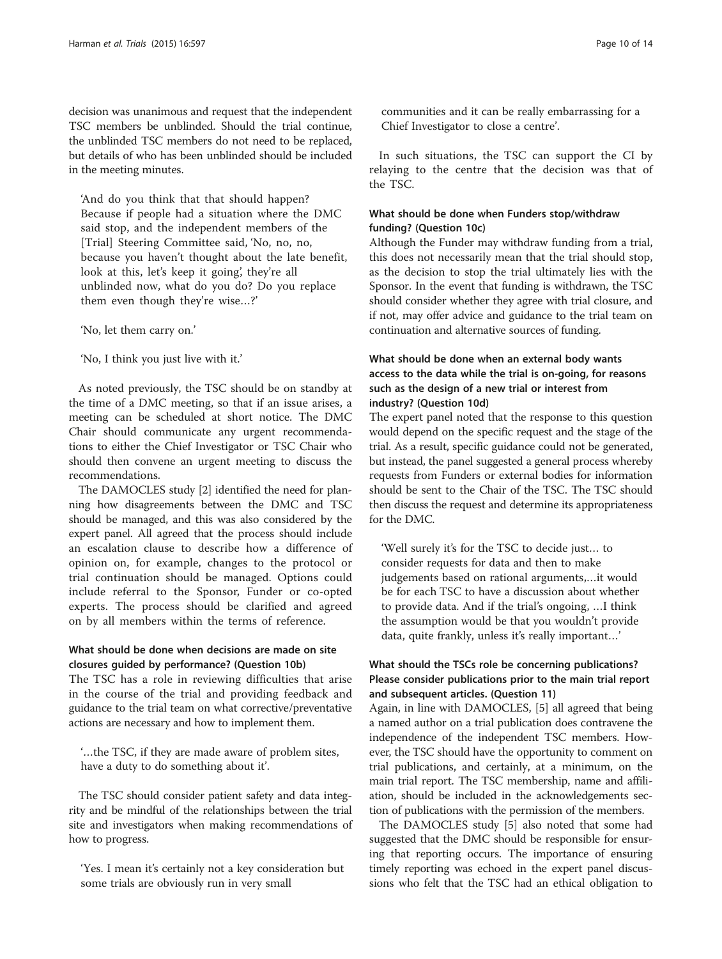decision was unanimous and request that the independent TSC members be unblinded. Should the trial continue, the unblinded TSC members do not need to be replaced, but details of who has been unblinded should be included in the meeting minutes.

'And do you think that that should happen? Because if people had a situation where the DMC said stop, and the independent members of the [Trial] Steering Committee said, 'No, no, no, because you haven't thought about the late benefit, look at this, let's keep it going', they're all unblinded now, what do you do? Do you replace them even though they're wise…?'

'No, let them carry on.'

'No, I think you just live with it.'

As noted previously, the TSC should be on standby at the time of a DMC meeting, so that if an issue arises, a meeting can be scheduled at short notice. The DMC Chair should communicate any urgent recommendations to either the Chief Investigator or TSC Chair who should then convene an urgent meeting to discuss the recommendations.

The DAMOCLES study [[2\]](#page-12-0) identified the need for planning how disagreements between the DMC and TSC should be managed, and this was also considered by the expert panel. All agreed that the process should include an escalation clause to describe how a difference of opinion on, for example, changes to the protocol or trial continuation should be managed. Options could include referral to the Sponsor, Funder or co-opted experts. The process should be clarified and agreed on by all members within the terms of reference.

# What should be done when decisions are made on site closures guided by performance? (Question 10b)

The TSC has a role in reviewing difficulties that arise in the course of the trial and providing feedback and guidance to the trial team on what corrective/preventative actions are necessary and how to implement them.

'…the TSC, if they are made aware of problem sites, have a duty to do something about it'.

The TSC should consider patient safety and data integrity and be mindful of the relationships between the trial site and investigators when making recommendations of how to progress.

'Yes. I mean it's certainly not a key consideration but some trials are obviously run in very small

communities and it can be really embarrassing for a Chief Investigator to close a centre'.

In such situations, the TSC can support the CI by relaying to the centre that the decision was that of the TSC.

#### What should be done when Funders stop/withdraw funding? (Question 10c)

Although the Funder may withdraw funding from a trial, this does not necessarily mean that the trial should stop, as the decision to stop the trial ultimately lies with the Sponsor. In the event that funding is withdrawn, the TSC should consider whether they agree with trial closure, and if not, may offer advice and guidance to the trial team on continuation and alternative sources of funding.

# What should be done when an external body wants access to the data while the trial is on-going, for reasons such as the design of a new trial or interest from industry? (Question 10d)

The expert panel noted that the response to this question would depend on the specific request and the stage of the trial. As a result, specific guidance could not be generated, but instead, the panel suggested a general process whereby requests from Funders or external bodies for information should be sent to the Chair of the TSC. The TSC should then discuss the request and determine its appropriateness for the DMC.

'Well surely it's for the TSC to decide just… to consider requests for data and then to make judgements based on rational arguments,…it would be for each TSC to have a discussion about whether to provide data. And if the trial's ongoing, …I think the assumption would be that you wouldn't provide data, quite frankly, unless it's really important…'

# What should the TSCs role be concerning publications? Please consider publications prior to the main trial report and subsequent articles. (Question 11)

Again, in line with DAMOCLES, [[5\]](#page-12-0) all agreed that being a named author on a trial publication does contravene the independence of the independent TSC members. However, the TSC should have the opportunity to comment on trial publications, and certainly, at a minimum, on the main trial report. The TSC membership, name and affiliation, should be included in the acknowledgements section of publications with the permission of the members.

The DAMOCLES study [\[5](#page-12-0)] also noted that some had suggested that the DMC should be responsible for ensuring that reporting occurs. The importance of ensuring timely reporting was echoed in the expert panel discussions who felt that the TSC had an ethical obligation to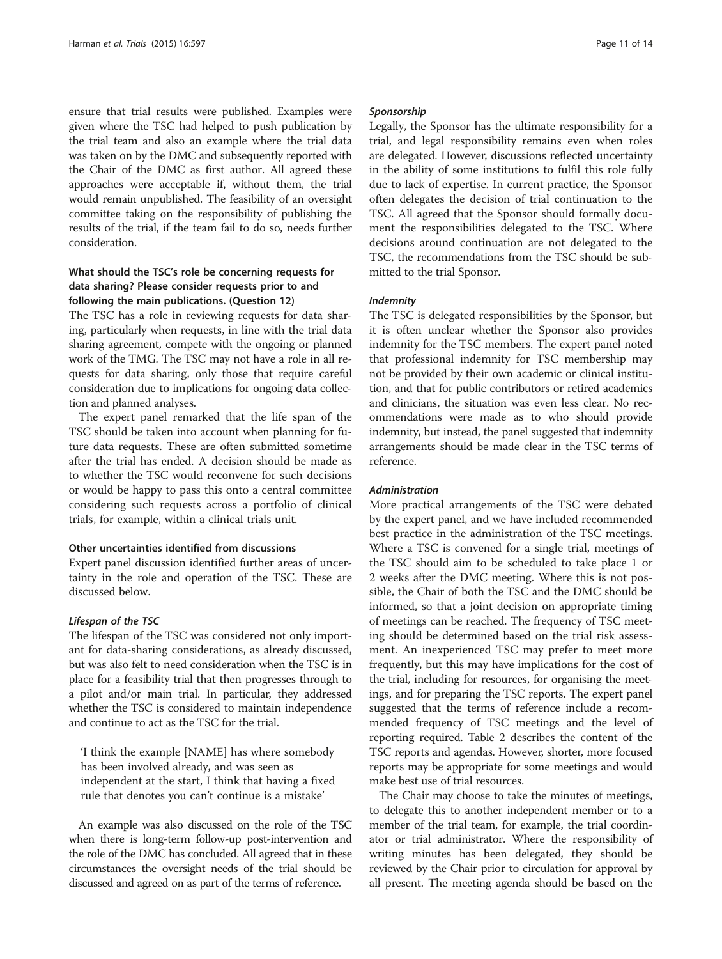ensure that trial results were published. Examples were given where the TSC had helped to push publication by the trial team and also an example where the trial data was taken on by the DMC and subsequently reported with the Chair of the DMC as first author. All agreed these approaches were acceptable if, without them, the trial would remain unpublished. The feasibility of an oversight committee taking on the responsibility of publishing the results of the trial, if the team fail to do so, needs further consideration.

### What should the TSC's role be concerning requests for data sharing? Please consider requests prior to and following the main publications. (Question 12)

The TSC has a role in reviewing requests for data sharing, particularly when requests, in line with the trial data sharing agreement, compete with the ongoing or planned work of the TMG. The TSC may not have a role in all requests for data sharing, only those that require careful consideration due to implications for ongoing data collection and planned analyses.

The expert panel remarked that the life span of the TSC should be taken into account when planning for future data requests. These are often submitted sometime after the trial has ended. A decision should be made as to whether the TSC would reconvene for such decisions or would be happy to pass this onto a central committee considering such requests across a portfolio of clinical trials, for example, within a clinical trials unit.

# Other uncertainties identified from discussions

Expert panel discussion identified further areas of uncertainty in the role and operation of the TSC. These are discussed below.

#### Lifespan of the TSC

The lifespan of the TSC was considered not only important for data-sharing considerations, as already discussed, but was also felt to need consideration when the TSC is in place for a feasibility trial that then progresses through to a pilot and/or main trial. In particular, they addressed whether the TSC is considered to maintain independence and continue to act as the TSC for the trial.

'I think the example [NAME] has where somebody has been involved already, and was seen as independent at the start, I think that having a fixed rule that denotes you can't continue is a mistake'

An example was also discussed on the role of the TSC when there is long-term follow-up post-intervention and the role of the DMC has concluded. All agreed that in these circumstances the oversight needs of the trial should be discussed and agreed on as part of the terms of reference.

#### Sponsorship

Legally, the Sponsor has the ultimate responsibility for a trial, and legal responsibility remains even when roles are delegated. However, discussions reflected uncertainty in the ability of some institutions to fulfil this role fully due to lack of expertise. In current practice, the Sponsor often delegates the decision of trial continuation to the TSC. All agreed that the Sponsor should formally document the responsibilities delegated to the TSC. Where decisions around continuation are not delegated to the TSC, the recommendations from the TSC should be submitted to the trial Sponsor.

#### Indemnity

The TSC is delegated responsibilities by the Sponsor, but it is often unclear whether the Sponsor also provides indemnity for the TSC members. The expert panel noted that professional indemnity for TSC membership may not be provided by their own academic or clinical institution, and that for public contributors or retired academics and clinicians, the situation was even less clear. No recommendations were made as to who should provide indemnity, but instead, the panel suggested that indemnity arrangements should be made clear in the TSC terms of reference.

#### Administration

More practical arrangements of the TSC were debated by the expert panel, and we have included recommended best practice in the administration of the TSC meetings. Where a TSC is convened for a single trial, meetings of the TSC should aim to be scheduled to take place 1 or 2 weeks after the DMC meeting. Where this is not possible, the Chair of both the TSC and the DMC should be informed, so that a joint decision on appropriate timing of meetings can be reached. The frequency of TSC meeting should be determined based on the trial risk assessment. An inexperienced TSC may prefer to meet more frequently, but this may have implications for the cost of the trial, including for resources, for organising the meetings, and for preparing the TSC reports. The expert panel suggested that the terms of reference include a recommended frequency of TSC meetings and the level of reporting required. Table [2](#page-7-0) describes the content of the TSC reports and agendas. However, shorter, more focused reports may be appropriate for some meetings and would make best use of trial resources.

The Chair may choose to take the minutes of meetings, to delegate this to another independent member or to a member of the trial team, for example, the trial coordinator or trial administrator. Where the responsibility of writing minutes has been delegated, they should be reviewed by the Chair prior to circulation for approval by all present. The meeting agenda should be based on the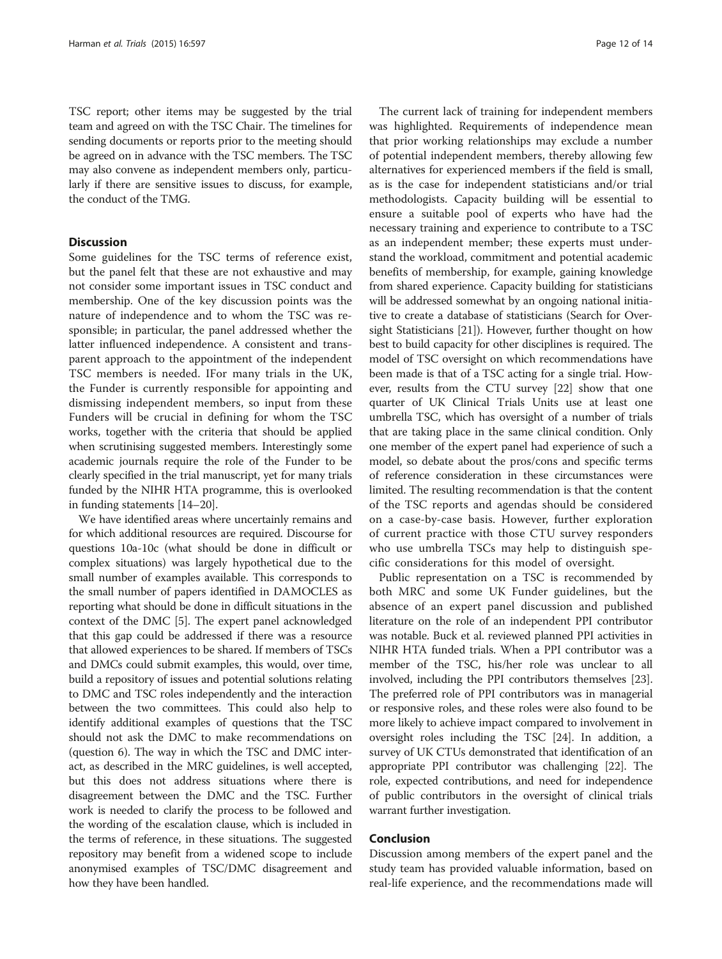TSC report; other items may be suggested by the trial team and agreed on with the TSC Chair. The timelines for sending documents or reports prior to the meeting should be agreed on in advance with the TSC members. The TSC may also convene as independent members only, particularly if there are sensitive issues to discuss, for example, the conduct of the TMG.

#### **Discussion**

Some guidelines for the TSC terms of reference exist, but the panel felt that these are not exhaustive and may not consider some important issues in TSC conduct and membership. One of the key discussion points was the nature of independence and to whom the TSC was responsible; in particular, the panel addressed whether the latter influenced independence. A consistent and transparent approach to the appointment of the independent TSC members is needed. IFor many trials in the UK, the Funder is currently responsible for appointing and dismissing independent members, so input from these Funders will be crucial in defining for whom the TSC works, together with the criteria that should be applied when scrutinising suggested members. Interestingly some academic journals require the role of the Funder to be clearly specified in the trial manuscript, yet for many trials funded by the NIHR HTA programme, this is overlooked in funding statements [\[14](#page-12-0)–[20\]](#page-13-0).

We have identified areas where uncertainly remains and for which additional resources are required. Discourse for questions 10a-10c (what should be done in difficult or complex situations) was largely hypothetical due to the small number of examples available. This corresponds to the small number of papers identified in DAMOCLES as reporting what should be done in difficult situations in the context of the DMC [\[5\]](#page-12-0). The expert panel acknowledged that this gap could be addressed if there was a resource that allowed experiences to be shared. If members of TSCs and DMCs could submit examples, this would, over time, build a repository of issues and potential solutions relating to DMC and TSC roles independently and the interaction between the two committees. This could also help to identify additional examples of questions that the TSC should not ask the DMC to make recommendations on (question 6). The way in which the TSC and DMC interact, as described in the MRC guidelines, is well accepted, but this does not address situations where there is disagreement between the DMC and the TSC. Further work is needed to clarify the process to be followed and the wording of the escalation clause, which is included in the terms of reference, in these situations. The suggested repository may benefit from a widened scope to include anonymised examples of TSC/DMC disagreement and how they have been handled.

The current lack of training for independent members was highlighted. Requirements of independence mean that prior working relationships may exclude a number of potential independent members, thereby allowing few alternatives for experienced members if the field is small, as is the case for independent statisticians and/or trial methodologists. Capacity building will be essential to ensure a suitable pool of experts who have had the necessary training and experience to contribute to a TSC as an independent member; these experts must understand the workload, commitment and potential academic benefits of membership, for example, gaining knowledge from shared experience. Capacity building for statisticians will be addressed somewhat by an ongoing national initiative to create a database of statisticians (Search for Oversight Statisticians [[21](#page-13-0)]). However, further thought on how best to build capacity for other disciplines is required. The model of TSC oversight on which recommendations have been made is that of a TSC acting for a single trial. However, results from the CTU survey [[22\]](#page-13-0) show that one quarter of UK Clinical Trials Units use at least one umbrella TSC, which has oversight of a number of trials that are taking place in the same clinical condition. Only one member of the expert panel had experience of such a model, so debate about the pros/cons and specific terms of reference consideration in these circumstances were limited. The resulting recommendation is that the content of the TSC reports and agendas should be considered on a case-by-case basis. However, further exploration of current practice with those CTU survey responders who use umbrella TSCs may help to distinguish specific considerations for this model of oversight.

Public representation on a TSC is recommended by both MRC and some UK Funder guidelines, but the absence of an expert panel discussion and published literature on the role of an independent PPI contributor was notable. Buck et al. reviewed planned PPI activities in NIHR HTA funded trials. When a PPI contributor was a member of the TSC, his/her role was unclear to all involved, including the PPI contributors themselves [[23](#page-13-0)]. The preferred role of PPI contributors was in managerial or responsive roles, and these roles were also found to be more likely to achieve impact compared to involvement in oversight roles including the TSC [\[24\]](#page-13-0). In addition, a survey of UK CTUs demonstrated that identification of an appropriate PPI contributor was challenging [\[22\]](#page-13-0). The role, expected contributions, and need for independence of public contributors in the oversight of clinical trials warrant further investigation.

#### Conclusion

Discussion among members of the expert panel and the study team has provided valuable information, based on real-life experience, and the recommendations made will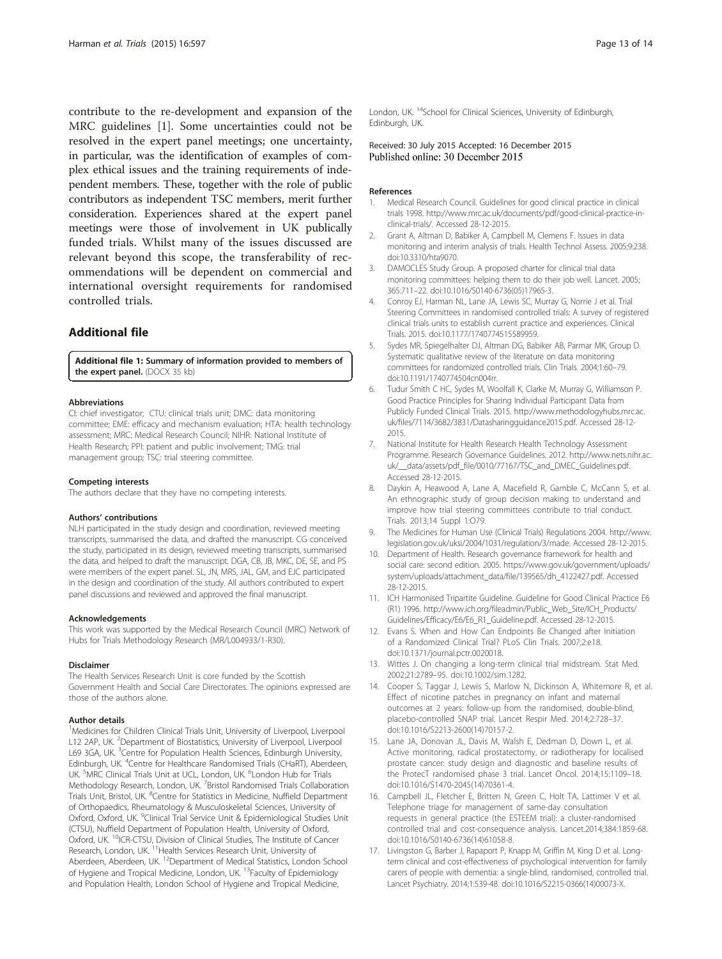<span id="page-12-0"></span>contribute to the re-development and expansion of the MRC guidelines [1]. Some uncertainties could not be resolved in the expert panel meetings; one uncertainty, in particular, was the identification of examples of complex ethical issues and the training requirements of independent members. These, together with the role of public contributors as independent TSC members, merit further consideration. Experiences shared at the expert panel meetings were those of involvement in UK publically funded trials. Whilst many of the issues discussed are relevant beyond this scope, the transferability of recommendations will be dependent on commercial and international oversight requirements for randomised controlled trials.

#### Additional file

[Additional file 1:](dx.doi.org/10.1186/s13063-015-1125-z) Summary of information provided to members of the expert panel. (DOCX 35 kb)

#### Abbreviations

CI: chief investigator; CTU: clinical trials unit; DMC: data monitoring committee; EME: efficacy and mechanism evaluation; HTA: health technology assessment; MRC: Medical Research Council; NIHR: National Institute of Health Research; PPI: patient and public involvement; TMG: trial management group; TSC: trial steering committee.

#### Competing interests

The authors declare that they have no competing interests.

#### Authors' contributions

NLH participated in the study design and coordination, reviewed meeting transcripts, summarised the data, and drafted the manuscript. CG conceived the study, participated in its design, reviewed meeting transcripts, summarised the data, and helped to draft the manuscript. DGA, CB, JB, MKC, DE, SE, and PS were members of the expert panel. SL, JN, MRS, JAL, GM, and EJC participated in the design and coordination of the study. All authors contributed to expert panel discussions and reviewed and approved the final manuscript.

#### Acknowledgements

This work was supported by the Medical Research Council (MRC) Network of Hubs for Trials Methodology Research (MR/L004933/1-R30).

#### Disclaimer

The Health Services Research Unit is core funded by the Scottish Government Health and Social Care Directorates. The opinions expressed are those of the authors alone.

#### Author details

<sup>1</sup>Medicines for Children Clinical Trials Unit, University of Liverpool, Liverpool L12 2AP, UK. <sup>2</sup>Department of Biostatistics, University of Liverpool, Liverpool L69 3GA, UK. <sup>3</sup>Centre for Population Health Sciences, Edinburgh University, Edinburgh, UK. <sup>4</sup>Centre for Healthcare Randomised Trials (CHaRT), Aberdeen, UK. <sup>5</sup>MRC Clinical Trials Unit at UCL, London, UK. <sup>6</sup>London Hub for Trials Methodology Research, London, UK. <sup>7</sup>Bristol Randomised Trials Collaboration Trials Unit, Bristol, UK. <sup>8</sup>Centre for Statistics in Medicine, Nuffield Department of Orthopaedics, Rheumatology & Musculoskeletal Sciences, University of Oxford, Oxford, UK. <sup>9</sup>Clinical Trial Service Unit & Epidemiological Studies Unit (CTSU), Nuffield Department of Population Health, University of Oxford, Oxford, UK. <sup>10</sup>ICR-CTSU, Division of Clinical Studies, The Institute of Cancer Research, London, UK. <sup>11</sup> Health Services Research Unit, University of Aberdeen, Aberdeen, UK. <sup>12</sup>Department of Medical Statistics, London School of Hygiene and Tropical Medicine, London, UK.<sup>13</sup>Faculty of Epidemiology and Population Health, London School of Hygiene and Tropical Medicine,

London, UK.<sup>14</sup>School for Clinical Sciences, University of Edinburgh, Edinburgh, UK.

#### Received: 30 July 2015 Accepted: 16 December 2015 Published online: 30 December 2015

#### References

- 1. Medical Research Council. Guidelines for good clinical practice in clinical trials 1998. [http://www.mrc.ac.uk/documents/pdf/good-clinical-practice-in](http://www.mrc.ac.uk/documents/pdf/good-clinical-practice-in-clinical-trials/)[clinical-trials/](http://www.mrc.ac.uk/documents/pdf/good-clinical-practice-in-clinical-trials/). Accessed 28-12-2015.
- 2. Grant A, Altman D, Babiker A, Campbell M, Clemens F. Issues in data monitoring and interim analysis of trials. Health Technol Assess. 2005;9:238. doi[:10.3310/hta9070.](http://dx.doi.org/10.3310/hta9070)
- 3. DAMOCLES Study Group. A proposed charter for clinical trial data monitoring committees: helping them to do their job well. Lancet. 2005; 365:711–22. doi[:10.1016/S0140-6736\(05\)17965-3](http://dx.doi.org/10.1016/S0140-6736(05)17965-3).
- 4. Conroy EJ, Harman NL, Lane JA, Lewis SC, Murray G, Norrie J et al. Trial Steering Committees in randomised controlled trials: A survey of registered clinical trials units to establish current practice and experiences. Clinical Trials. 2015. doi[:10.1177/1740774515589959](http://dx.doi.org/10.1177/1740774515589959).
- 5. Sydes MR, Spiegelhalter DJ, Altman DG, Babiker AB, Parmar MK, Group D. Systematic qualitative review of the literature on data monitoring committees for randomized controlled trials. Clin Trials. 2004;1:60–79. doi[:10.1191/1740774504cn004rr.](http://dx.doi.org/10.1191/1740774504cn004rr)
- 6. Tudur Smith C HC, Sydes M, Woolfall K, Clarke M, Murray G, Williamson P. Good Practice Principles for Sharing Individual Participant Data from Publicly Funded Clinical Trials. 2015. [http://www.methodologyhubs.mrc.ac.](http://www.methodologyhubs.mrc.ac.uk/files/7114/3682/3831/Datasharingguidance2015.pdf) [uk/files/7114/3682/3831/Datasharingguidance2015.pdf](http://www.methodologyhubs.mrc.ac.uk/files/7114/3682/3831/Datasharingguidance2015.pdf). Accessed 28-12- 2015.
- 7. National Institute for Health Research Health Technology Assessment Programme. Research Governance Guidelines. 2012. [http://www.nets.nihr.ac.](http://www.nets.nihr.ac.uk/__data/assets/pdf_file/0010/77167/TSC_and_DMEC_Guidelines.pdf) uk/ data/assets/pdf file/0010/77167/TSC and DMEC Guidelines.pdf. Accessed 28-12-2015.
- 8. Daykin A, Heawood A, Lane A, Macefield R, Gamble C, McCann S, et al. An ethnographic study of group decision making to understand and improve how trial steering committees contribute to trial conduct. Trials. 2013;14 Suppl 1:O79.
- 9. The Medicines for Human Use (Clinical Trials) Regulations 2004. [http://www.](http://www.legislation.gov.uk/uksi/2004/1031/regulation/3/made) [legislation.gov.uk/uksi/2004/1031/regulation/3/made.](http://www.legislation.gov.uk/uksi/2004/1031/regulation/3/made) Accessed 28-12-2015.
- 10. Department of Health. Research governance framework for health and social care: second edition. 2005. [https://www.gov.uk/government/uploads/](https://www.gov.uk/government/uploads/system/uploads/attachment_data/file/139565/dh_4122427.pdf) [system/uploads/attachment\\_data/file/139565/dh\\_4122427.pdf](https://www.gov.uk/government/uploads/system/uploads/attachment_data/file/139565/dh_4122427.pdf). Accessed 28-12-2015.
- 11. ICH Harmonised Tripartite Guideline. Guideline for Good Clinical Practice E6 (R1) 1996. [http://www.ich.org/fileadmin/Public\\_Web\\_Site/ICH\\_Products/](http://www.ich.org/fileadmin/Public_Web_Site/ICH_Products/Guidelines/Efficacy/E6/E6_R1_Guideline.pdf) [Guidelines/Efficacy/E6/E6\\_R1\\_Guideline.pdf.](http://www.ich.org/fileadmin/Public_Web_Site/ICH_Products/Guidelines/Efficacy/E6/E6_R1_Guideline.pdf) Accessed 28-12-2015.
- 12. Evans S. When and How Can Endpoints Be Changed after Initiation of a Randomized Clinical Trial? PLoS Clin Trials. 2007;2:e18. doi[:10.1371/journal.pctr.0020018](http://dx.doi.org/10.1371/journal.pctr.0020018).
- 13. Wittes J. On changing a long-term clinical trial midstream. Stat Med. 2002;21:2789–95. doi:[10.1002/sim.1282](http://dx.doi.org/10.1002/sim.1282).
- 14. Cooper S, Taggar J, Lewis S, Marlow N, Dickinson A, Whitemore R, et al. Effect of nicotine patches in pregnancy on infant and maternal outcomes at 2 years: follow-up from the randomised, double-blind, placebo-controlled SNAP trial. Lancet Respir Med. 2014;2:728–37. doi[:10.1016/S2213-2600\(14\)70157-2.](http://dx.doi.org/10.1016/S2213-2600(14)70157-2)
- 15. Lane JA, Donovan JL, Davis M, Walsh E, Dedman D, Down L, et al. Active monitoring, radical prostatectomy, or radiotherapy for localised prostate cancer: study design and diagnostic and baseline results of the ProtecT randomised phase 3 trial. Lancet Oncol. 2014;15:1109–18. doi[:10.1016/S1470-2045\(14\)70361-4.](http://dx.doi.org/10.1016/S1470-2045(14)70361-4)
- 16. Campbell JL, Fletcher E, Britten N, Green C, Holt TA, Lattimer V et al. Telephone triage for management of same-day consultation requests in general practice (the ESTEEM trial): a cluster-randomised controlled trial and cost-consequence analysis. Lancet.2014;384:1859-68. doi[:10.1016/S0140-6736\(14\)61058-8.](http://dx.doi.org/10.1016/S0140-6736(14)61058-8)
- 17. Livingston G, Barber J, Rapaport P, Knapp M, Griffin M, King D et al. Longterm clinical and cost-effectiveness of psychological intervention for family carers of people with dementia: a single-blind, randomised, controlled trial. Lancet Psychiatry. 2014;1:539-48. doi[:10.1016/S2215-0366\(14\)00073-X.](http://dx.doi.org/10.1016/S2215-0366(14)00073-X)